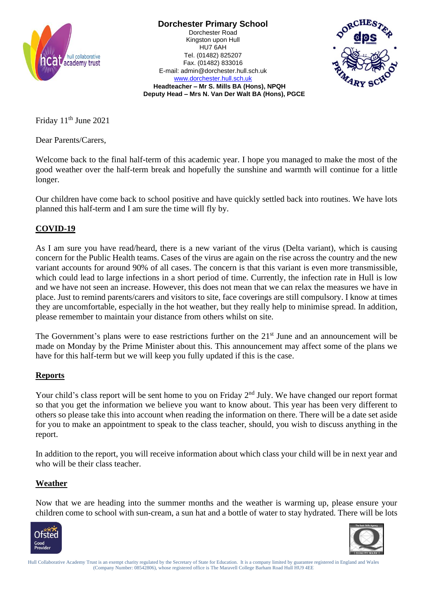

**Dorchester Primary School** Dorchester Road Kingston upon Hull HU7 6AH Tel. (01482) 825207 Fax. (01482) 833016 E-mail: admin@dorchester.hull.sch.uk [www.dorchester.hull.sch.uk](http://www.dorchester.hull.sch.uk/)



**Headteacher – Mr S. Mills BA (Hons), NPQH Deputy Head – Mrs N. Van Der Walt BA (Hons), PGCE**

Friday 11<sup>th</sup> June 2021

Dear Parents/Carers,

Welcome back to the final half-term of this academic year. I hope you managed to make the most of the good weather over the half-term break and hopefully the sunshine and warmth will continue for a little longer.

Our children have come back to school positive and have quickly settled back into routines. We have lots planned this half-term and I am sure the time will fly by.

# **COVID-19**

As I am sure you have read/heard, there is a new variant of the virus (Delta variant), which is causing concern for the Public Health teams. Cases of the virus are again on the rise across the country and the new variant accounts for around 90% of all cases. The concern is that this variant is even more transmissible, which could lead to large infections in a short period of time. Currently, the infection rate in Hull is low and we have not seen an increase. However, this does not mean that we can relax the measures we have in place. Just to remind parents/carers and visitors to site, face coverings are still compulsory. I know at times they are uncomfortable, especially in the hot weather, but they really help to minimise spread. In addition, please remember to maintain your distance from others whilst on site.

The Government's plans were to ease restrictions further on the 21<sup>st</sup> June and an announcement will be made on Monday by the Prime Minister about this. This announcement may affect some of the plans we have for this half-term but we will keep you fully updated if this is the case.

## **Reports**

Your child's class report will be sent home to you on Friday  $2<sup>nd</sup>$  July. We have changed our report format so that you get the information we believe you want to know about. This year has been very different to others so please take this into account when reading the information on there. There will be a date set aside for you to make an appointment to speak to the class teacher, should, you wish to discuss anything in the report.

In addition to the report, you will receive information about which class your child will be in next year and who will be their class teacher.

#### **Weather**

Now that we are heading into the summer months and the weather is warming up, please ensure your children come to school with sun-cream, a sun hat and a bottle of water to stay hydrated. There will be lots